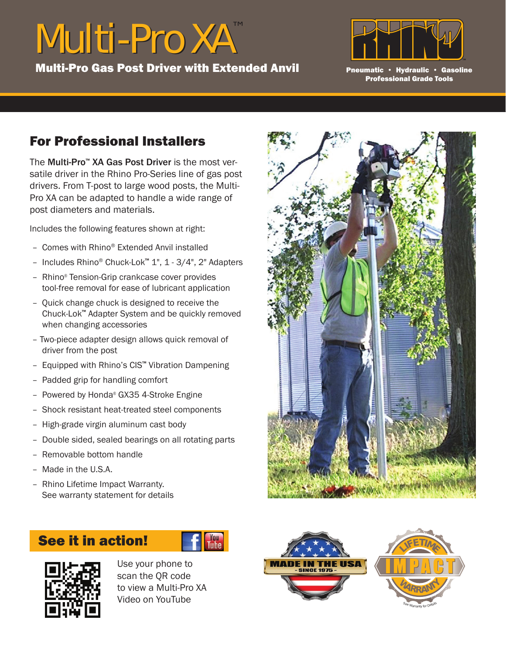## Multi-Pro XA™ Multi-Pro XA

Multi-Pro Gas Post Driver with Extended Anvil



Pneumatic • Hydraulic • Gasoline Professional Grade Tools

## For Professional Installers

The Multi-Pro™ XA Gas Post Driver is the most versatile driver in the Rhino Pro-Series line of gas post drivers. From T-post to large wood posts, the Multi-Pro XA can be adapted to handle a wide range of post diameters and materials.

Includes the following features shown at right:

- Comes with Rhino® Extended Anvil installed
- Includes Rhino® Chuck-Lok™ 1", 1 3/4", 2" Adapters
- Rhino® Tension-Grip crankcase cover provides tool-free removal for ease of lubricant application
- Quick change chuck is designed to receive the Chuck-Lok™ Adapter System and be quickly removed when changing accessories
- Two-piece adapter design allows quick removal of driver from the post
- Equipped with Rhino's CIS™ Vibration Dampening
- Padded grip for handling comfort
- Powered by Honda® GX35 4-Stroke Engine
- Shock resistant heat-treated steel components
- High-grade virgin aluminum cast body
- Double sided, sealed bearings on all rotating parts
- Removable bottom handle
- Made in the U.S.A.
- Rhino Lifetime Impact Warranty. See warranty statement for details

## See it in action!





Use your phone to scan the QR code to view a Multi-Pro XA Video on YouTube